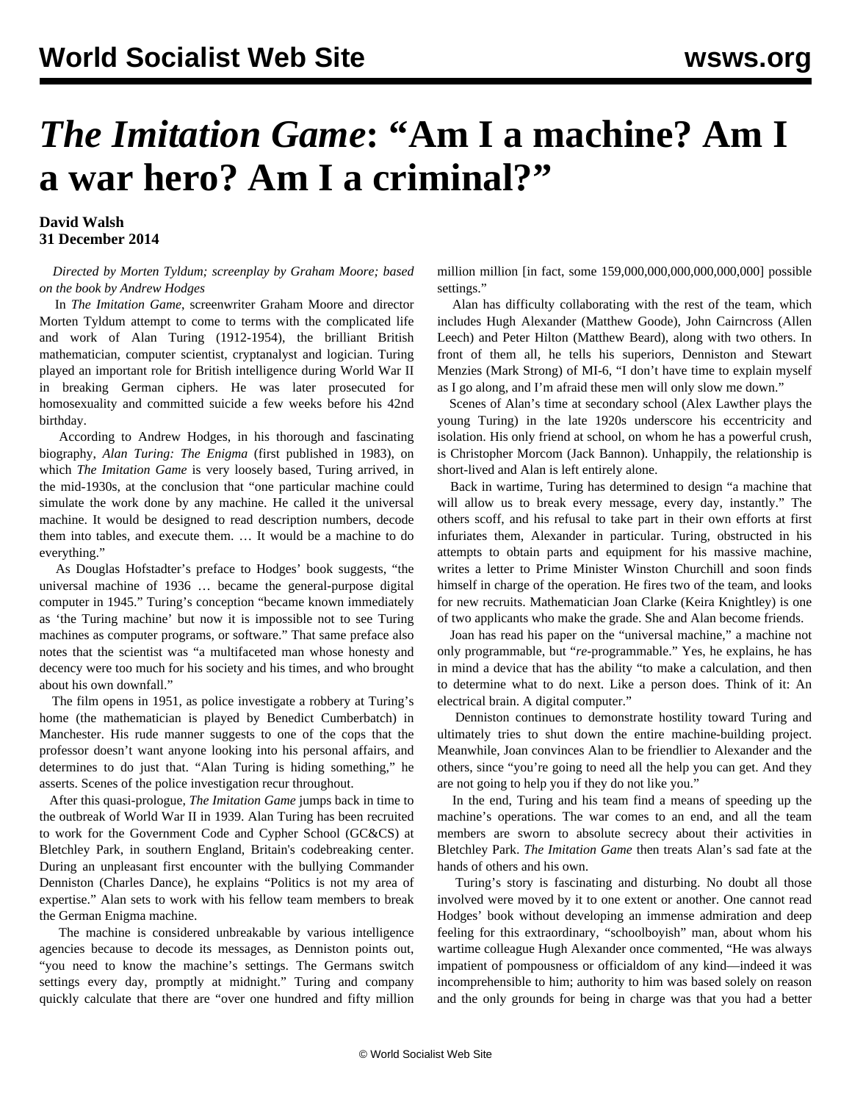## *The Imitation Game***: "Am I a machine? Am I a war hero? Am I a criminal?"**

## **David Walsh 31 December 2014**

 *Directed by Morten Tyldum; screenplay by Graham Moore; based on the book by Andrew Hodges*

 In *The Imitation Game*, screenwriter Graham Moore and director Morten Tyldum attempt to come to terms with the complicated life and work of Alan Turing (1912-1954), the brilliant British mathematician, computer scientist, cryptanalyst and logician. Turing played an important role for British intelligence during World War II in breaking German ciphers. He was later prosecuted for homosexuality and committed suicide a few weeks before his 42nd birthday.

 According to Andrew Hodges, in his thorough and fascinating biography, *Alan Turing: The Enigma* (first published in 1983), on which *The Imitation Game* is very loosely based, Turing arrived, in the mid-1930s, at the conclusion that "one particular machine could simulate the work done by any machine. He called it the universal machine. It would be designed to read description numbers, decode them into tables, and execute them. … It would be a machine to do everything."

 As Douglas Hofstadter's preface to Hodges' book suggests, "the universal machine of 1936 … became the general-purpose digital computer in 1945." Turing's conception "became known immediately as 'the Turing machine' but now it is impossible not to see Turing machines as computer programs, or software." That same preface also notes that the scientist was "a multifaceted man whose honesty and decency were too much for his society and his times, and who brought about his own downfall."

 The film opens in 1951, as police investigate a robbery at Turing's home (the mathematician is played by Benedict Cumberbatch) in Manchester. His rude manner suggests to one of the cops that the professor doesn't want anyone looking into his personal affairs, and determines to do just that. "Alan Turing is hiding something," he asserts. Scenes of the police investigation recur throughout.

 After this quasi-prologue, *The Imitation Game* jumps back in time to the outbreak of World War II in 1939. Alan Turing has been recruited to work for the Government Code and Cypher School (GC&CS) at Bletchley Park, in southern England, Britain's codebreaking center. During an unpleasant first encounter with the bullying Commander Denniston (Charles Dance), he explains "Politics is not my area of expertise." Alan sets to work with his fellow team members to break the German Enigma machine.

 The machine is considered unbreakable by various intelligence agencies because to decode its messages, as Denniston points out, "you need to know the machine's settings. The Germans switch settings every day, promptly at midnight." Turing and company quickly calculate that there are "over one hundred and fifty million million million [in fact, some 159,000,000,000,000,000,000] possible settings."

 Alan has difficulty collaborating with the rest of the team, which includes Hugh Alexander (Matthew Goode), John Cairncross (Allen Leech) and Peter Hilton (Matthew Beard), along with two others. In front of them all, he tells his superiors, Denniston and Stewart Menzies (Mark Strong) of MI-6, "I don't have time to explain myself as I go along, and I'm afraid these men will only slow me down."

 Scenes of Alan's time at secondary school (Alex Lawther plays the young Turing) in the late 1920s underscore his eccentricity and isolation. His only friend at school, on whom he has a powerful crush, is Christopher Morcom (Jack Bannon). Unhappily, the relationship is short-lived and Alan is left entirely alone.

 Back in wartime, Turing has determined to design "a machine that will allow us to break every message, every day, instantly." The others scoff, and his refusal to take part in their own efforts at first infuriates them, Alexander in particular. Turing, obstructed in his attempts to obtain parts and equipment for his massive machine, writes a letter to Prime Minister Winston Churchill and soon finds himself in charge of the operation. He fires two of the team, and looks for new recruits. Mathematician Joan Clarke (Keira Knightley) is one of two applicants who make the grade. She and Alan become friends.

 Joan has read his paper on the "universal machine," a machine not only programmable, but "*re-*programmable." Yes, he explains, he has in mind a device that has the ability "to make a calculation, and then to determine what to do next. Like a person does. Think of it: An electrical brain. A digital computer."

 Denniston continues to demonstrate hostility toward Turing and ultimately tries to shut down the entire machine-building project. Meanwhile, Joan convinces Alan to be friendlier to Alexander and the others, since "you're going to need all the help you can get. And they are not going to help you if they do not like you."

 In the end, Turing and his team find a means of speeding up the machine's operations. The war comes to an end, and all the team members are sworn to absolute secrecy about their activities in Bletchley Park. *The Imitation Game* then treats Alan's sad fate at the hands of others and his own.

 Turing's story is fascinating and disturbing. No doubt all those involved were moved by it to one extent or another. One cannot read Hodges' book without developing an immense admiration and deep feeling for this extraordinary, "schoolboyish" man, about whom his wartime colleague Hugh Alexander once commented, "He was always impatient of pompousness or officialdom of any kind—indeed it was incomprehensible to him; authority to him was based solely on reason and the only grounds for being in charge was that you had a better